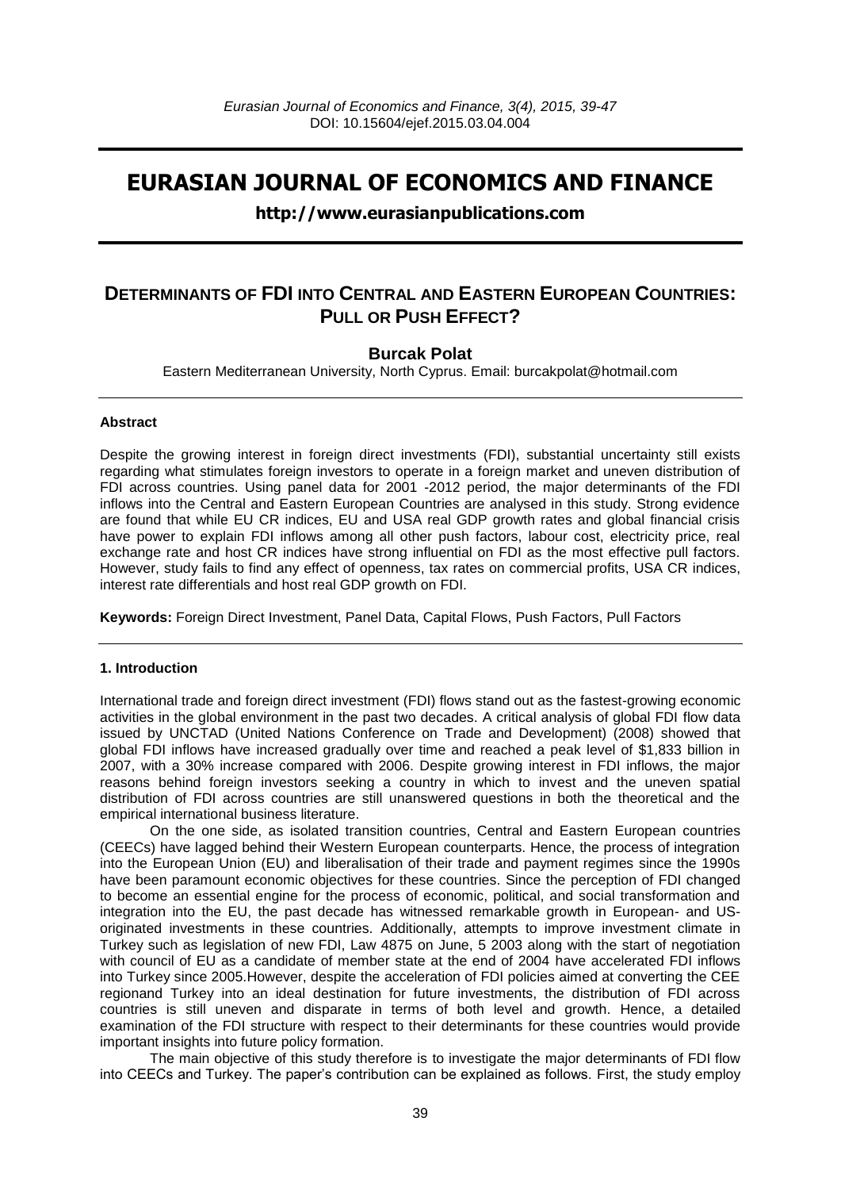# **EURASIAN JOURNAL OF ECONOMICS AND FINANCE**

### **http://www.eurasianpublications.com**

## **DETERMINANTS OF FDI INTO CENTRAL AND EASTERN EUROPEAN COUNTRIES: PULL OR PUSH EFFECT?**

### **Burcak Polat**

Eastern Mediterranean University, North Cyprus. Email: [burcakpolat@hotmail.com](mailto:burcakpolat@hotmail.com)

#### **Abstract**

Despite the growing interest in foreign direct investments (FDI), substantial uncertainty still exists regarding what stimulates foreign investors to operate in a foreign market and uneven distribution of FDI across countries. Using panel data for 2001 -2012 period, the major determinants of the FDI inflows into the Central and Eastern European Countries are analysed in this study. Strong evidence are found that while EU CR indices, EU and USA real GDP growth rates and global financial crisis have power to explain FDI inflows among all other push factors, labour cost, electricity price, real exchange rate and host CR indices have strong influential on FDI as the most effective pull factors. However, study fails to find any effect of openness, tax rates on commercial profits, USA CR indices, interest rate differentials and host real GDP growth on FDI.

**Keywords:** Foreign Direct Investment, Panel Data, Capital Flows, Push Factors, Pull Factors

#### **1. Introduction**

International trade and foreign direct investment (FDI) flows stand out as the fastest-growing economic activities in the global environment in the past two decades. A critical analysis of global FDI flow data issued by UNCTAD (United Nations Conference on Trade and Development) (2008) showed that global FDI inflows have increased gradually over time and reached a peak level of \$1,833 billion in 2007, with a 30% increase compared with 2006. Despite growing interest in FDI inflows, the major reasons behind foreign investors seeking a country in which to invest and the uneven spatial distribution of FDI across countries are still unanswered questions in both the theoretical and the empirical international business literature.

On the one side, as isolated transition countries, Central and Eastern European countries (CEECs) have lagged behind their Western European counterparts. Hence, the process of integration into the European Union (EU) and liberalisation of their trade and payment regimes since the 1990s have been paramount economic objectives for these countries. Since the perception of FDI changed to become an essential engine for the process of economic, political, and social transformation and integration into the EU, the past decade has witnessed remarkable growth in European- and USoriginated investments in these countries. Additionally, attempts to improve investment climate in Turkey such as legislation of new FDI, Law 4875 on June, 5 2003 along with the start of negotiation with council of EU as a candidate of member state at the end of 2004 have accelerated FDI inflows into Turkey since 2005.However, despite the acceleration of FDI policies aimed at converting the CEE regionand Turkey into an ideal destination for future investments, the distribution of FDI across countries is still uneven and disparate in terms of both level and growth. Hence, a detailed examination of the FDI structure with respect to their determinants for these countries would provide important insights into future policy formation.

The main objective of this study therefore is to investigate the major determinants of FDI flow into CEECs and Turkey. The paper's contribution can be explained as follows. First, the study employ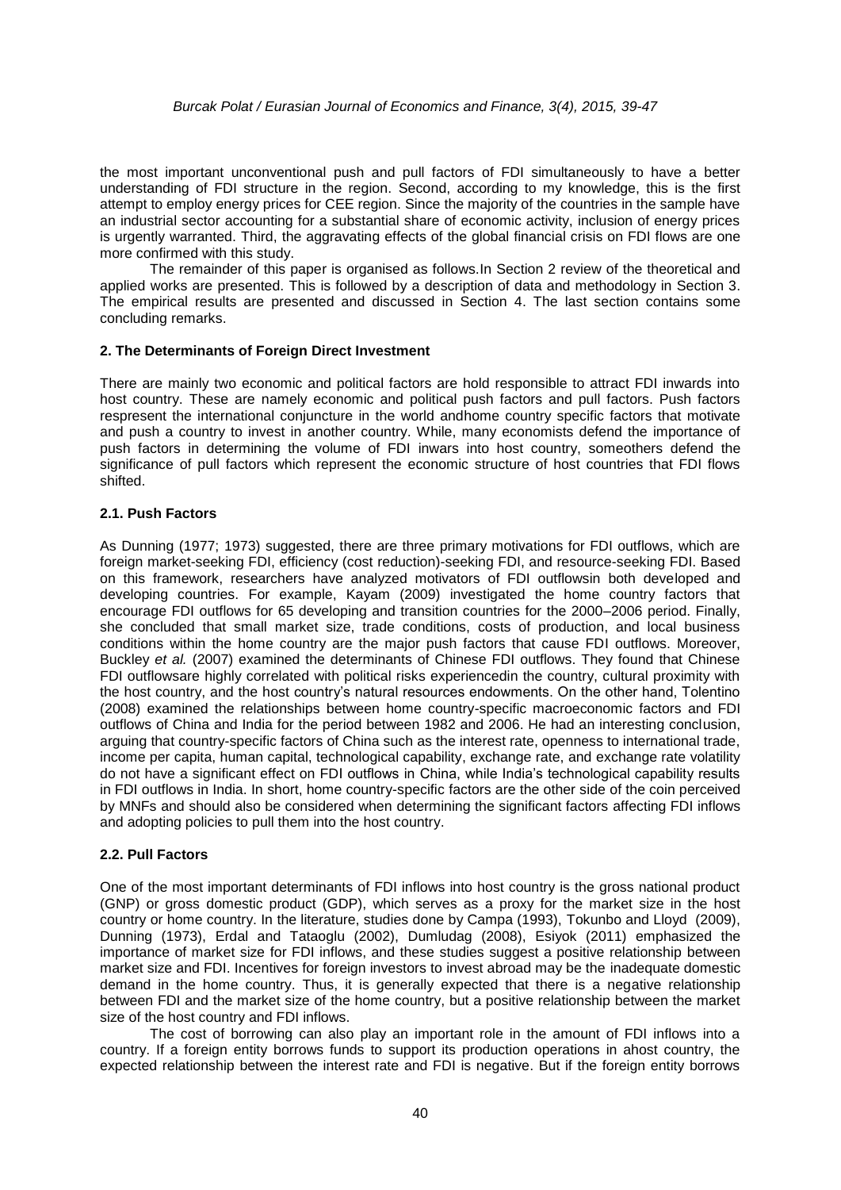the most important unconventional push and pull factors of FDI simultaneously to have a better understanding of FDI structure in the region. Second, according to my knowledge, this is the first attempt to employ energy prices for CEE region. Since the majority of the countries in the sample have an industrial sector accounting for a substantial share of economic activity, inclusion of energy prices is urgently warranted. Third, the aggravating effects of the global financial crisis on FDI flows are one more confirmed with this study.

The remainder of this paper is organised as follows.In Section 2 review of the theoretical and applied works are presented. This is followed by a description of data and methodology in Section 3. The empirical results are presented and discussed in Section 4. The last section contains some concluding remarks.

#### **2. The Determinants of Foreign Direct Investment**

There are mainly two economic and political factors are hold responsible to attract FDI inwards into host country. These are namely economic and political push factors and pull factors. Push factors respresent the international conjuncture in the world andhome country specific factors that motivate and push a country to invest in another country. While, many economists defend the importance of push factors in determining the volume of FDI inwars into host country, someothers defend the significance of pull factors which represent the economic structure of host countries that FDI flows shifted.

#### **2.1. Push Factors**

As Dunning (1977; 1973) suggested, there are three primary motivations for FDI outflows, which are foreign market-seeking FDI, efficiency (cost reduction)-seeking FDI, and resource-seeking FDI. Based on this framework, researchers have analyzed motivators of FDI outflowsin both developed and developing countries. For example, Kayam (2009) investigated the home country factors that encourage FDI outflows for 65 developing and transition countries for the 2000–2006 period. Finally, she concluded that small market size, trade conditions, costs of production, and local business conditions within the home country are the major push factors that cause FDI outflows. Moreover, Buckley *et al.* (2007) examined the determinants of Chinese FDI outflows. They found that Chinese FDI outflowsare highly correlated with political risks experiencedin the country, cultural proximity with the host country, and the host country's natural resources endowments. On the other hand, Tolentino (2008) examined the relationships between home country-specific macroeconomic factors and FDI outflows of China and India for the period between 1982 and 2006. He had an interesting conclusion, arguing that country-specific factors of China such as the interest rate, openness to international trade, income per capita, human capital, technological capability, exchange rate, and exchange rate volatility do not have a significant effect on FDI outflows in China, while India's technological capability results in FDI outflows in India. In short, home country-specific factors are the other side of the coin perceived by MNFs and should also be considered when determining the significant factors affecting FDI inflows and adopting policies to pull them into the host country.

#### **2.2. Pull Factors**

One of the most important determinants of FDI inflows into host country is the gross national product (GNP) or gross domestic product (GDP), which serves as a proxy for the market size in the host country or home country. In the literature, studies done by Campa (1993), Tokunbo and Lloyd (2009), Dunning (1973), Erdal and Tataoglu (2002), Dumludag (2008), Esiyok (2011) emphasized the importance of market size for FDI inflows, and these studies suggest a positive relationship between market size and FDI. Incentives for foreign investors to invest abroad may be the inadequate domestic demand in the home country. Thus, it is generally expected that there is a negative relationship between FDI and the market size of the home country, but a positive relationship between the market size of the host country and FDI inflows.

The cost of borrowing can also play an important role in the amount of FDI inflows into a country. If a foreign entity borrows funds to support its production operations in ahost country, the expected relationship between the interest rate and FDI is negative. But if the foreign entity borrows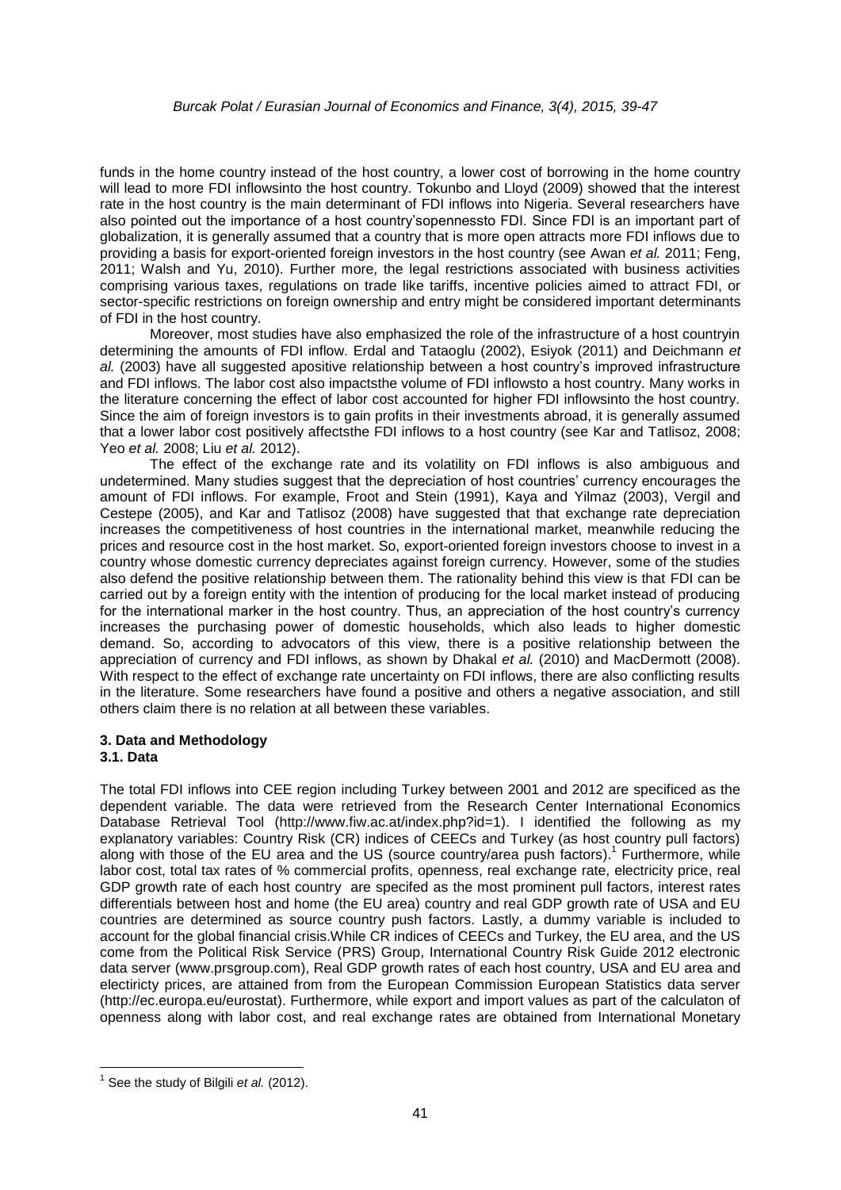funds in the home country instead of the host country, a lower cost of borrowing in the home country will lead to more FDI inflowsinto the host country. Tokunbo and Lloyd (2009) showed that the interest rate in the host country is the main determinant of FDI inflows into Nigeria. Several researchers have also pointed out the importance of a host country'sopennessto FDI. Since FDI is an important part of globalization, it is generally assumed that a country that is more open attracts more FDI inflows due to providing a basis for export-oriented foreign investors in the host country (see Awan *et al.* 2011; Feng, 2011; Walsh and Yu, 2010). Further more, the legal restrictions associated with business activities comprising various taxes, regulations on trade like tariffs, incentive policies aimed to attract FDI, or sector-specific restrictions on foreign ownership and entry might be considered important determinants of FDI in the host country.

Moreover, most studies have also emphasized the role of the infrastructure of a host countryin determining the amounts of FDI inflow. Erdal and Tataoglu (2002), Esiyok (2011) and Deichmann *et al.* (2003) have all suggested apositive relationship between a host country's improved infrastructure and FDI inflows. The labor cost also impactsthe volume of FDI inflowsto a host country. Many works in the literature concerning the effect of labor cost accounted for higher FDI inflowsinto the host country. Since the aim of foreign investors is to gain profits in their investments abroad, it is generally assumed that a lower labor cost positively affectsthe FDI inflows to a host country (see Kar and Tatlisoz, 2008; Yeo *et al.* 2008; Liu *et al.* 2012).

The effect of the exchange rate and its volatility on FDI inflows is also ambiguous and undetermined. Many studies suggest that the depreciation of host countries' currency encourages the amount of FDI inflows. For example, Froot and Stein (1991), Kaya and Yilmaz (2003), Vergil and Cestepe (2005), and Kar and Tatlisoz (2008) have suggested that that exchange rate depreciation increases the competitiveness of host countries in the international market, meanwhile reducing the prices and resource cost in the host market. So, export-oriented foreign investors choose to invest in a country whose domestic currency depreciates against foreign currency. However, some of the studies also defend the positive relationship between them. The rationality behind this view is that FDI can be carried out by a foreign entity with the intention of producing for the local market instead of producing for the international marker in the host country. Thus, an appreciation of the host country's currency increases the purchasing power of domestic households, which also leads to higher domestic demand. So, according to advocators of this view, there is a positive relationship between the appreciation of currency and FDI inflows, as shown by Dhakal *et al.* (2010) and MacDermott (2008). With respect to the effect of exchange rate uncertainty on FDI inflows, there are also conflicting results in the literature. Some researchers have found a positive and others a negative association, and still others claim there is no relation at all between these variables.

#### **3. Data and Methodology 3.1. Data**

The total FDI inflows into CEE region including Turkey between 2001 and 2012 are specificed as the dependent variable. The data were retrieved from the Research Center International Economics Database Retrieval Tool [\(http://www.fiw.ac.at/index.php?id=1\)](http://www.fiw.ac.at/index.php?id=1). I identified the following as my explanatory variables: Country Risk (CR) indices of CEECs and Turkey (as host country pull factors) along with those of the EU area and the US (source country/area push factors).<sup>1</sup> Furthermore, while labor cost, total tax rates of % commercial profits, openness, real exchange rate, electricity price, real GDP growth rate of each host country are specifed as the most prominent pull factors, interest rates differentials between host and home (the EU area) country and real GDP growth rate of USA and EU countries are determined as source country push factors. Lastly, a dummy variable is included to account for the global financial crisis.While CR indices of CEECs and Turkey, the EU area, and the US come from the Political Risk Service (PRS) Group, International Country Risk Guide 2012 electronic data server [\(www.prsgroup.com\)](http://www.prsgroup.com/), Real GDP growth rates of each host country, USA and EU area and electiricty prices, are attained from from the European Commission European Statistics data server [\(http://ec.europa.eu/eurostat\)](http://ec.europa.eu/eurostat). Furthermore, while export and import values as part of the calculaton of openness along with labor cost, and real exchange rates are obtained from International Monetary

 $\overline{\phantom{a}}$ 

<sup>&</sup>lt;sup>1</sup> See the study of Bilgili *et al.* (2012).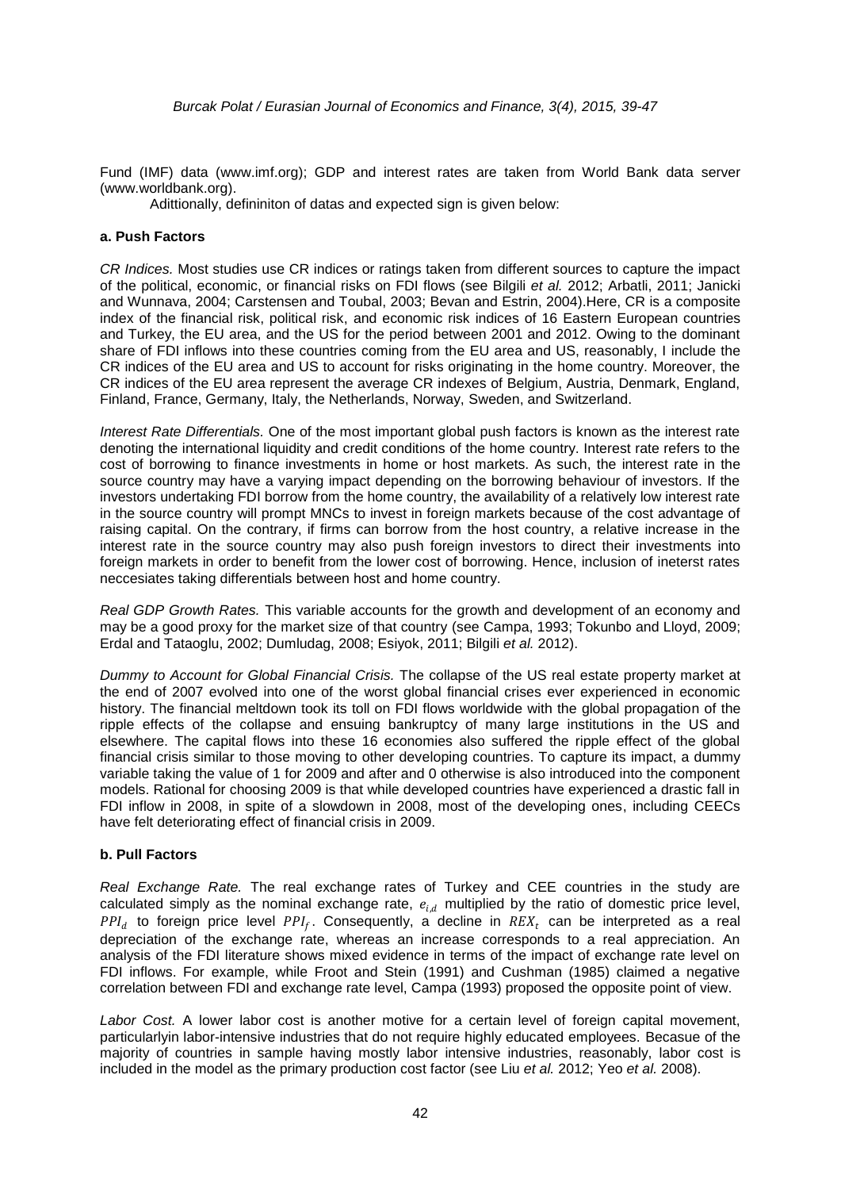Fund (IMF) data [\(www.imf.org\)](http://www.imf.org/); GDP and interest rates are taken from World Bank data server [\(www.worldbank.org\)](http://www.worldbank.org/).

Adittionally, defininiton of datas and expected sign is given below:

#### **a. Push Factors**

*CR Indices.* Most studies use CR indices or ratings taken from different sources to capture the impact of the political, economic, or financial risks on FDI flows (see Bilgili *et al.* 2012; Arbatli, 2011; Janicki and Wunnava, 2004; Carstensen and Toubal, 2003; Bevan and Estrin, 2004).Here, CR is a composite index of the financial risk, political risk, and economic risk indices of 16 Eastern European countries and Turkey, the EU area, and the US for the period between 2001 and 2012. Owing to the dominant share of FDI inflows into these countries coming from the EU area and US, reasonably, I include the CR indices of the EU area and US to account for risks originating in the home country. Moreover, the CR indices of the EU area represent the average CR indexes of Belgium, Austria, Denmark, England, Finland, France, Germany, Italy, the Netherlands, Norway, Sweden, and Switzerland.

*Interest Rate Differentials.* One of the most important global push factors is known as the interest rate denoting the international liquidity and credit conditions of the home country. Interest rate refers to the cost of borrowing to finance investments in home or host markets. As such, the interest rate in the source country may have a varying impact depending on the borrowing behaviour of investors. If the investors undertaking FDI borrow from the home country, the availability of a relatively low interest rate in the source country will prompt MNCs to invest in foreign markets because of the cost advantage of raising capital. On the contrary, if firms can borrow from the host country, a relative increase in the interest rate in the source country may also push foreign investors to direct their investments into foreign markets in order to benefit from the lower cost of borrowing. Hence, inclusion of ineterst rates neccesiates taking differentials between host and home country.

*Real GDP Growth Rates.* This variable accounts for the growth and development of an economy and may be a good proxy for the market size of that country (see Campa, 1993; Tokunbo and Lloyd, 2009; Erdal and Tataoglu, 2002; Dumludag, 2008; Esiyok, 2011; Bilgili *et al.* 2012).

*Dummy to Account for Global Financial Crisis.* The collapse of the US real estate property market at the end of 2007 evolved into one of the worst global financial crises ever experienced in economic history. The financial meltdown took its toll on FDI flows worldwide with the global propagation of the ripple effects of the collapse and ensuing bankruptcy of many large institutions in the US and elsewhere. The capital flows into these 16 economies also suffered the ripple effect of the global financial crisis similar to those moving to other developing countries. To capture its impact, a dummy variable taking the value of 1 for 2009 and after and 0 otherwise is also introduced into the component models. Rational for choosing 2009 is that while developed countries have experienced a drastic fall in FDI inflow in 2008, in spite of a slowdown in 2008, most of the developing ones, including CEECs have felt deteriorating effect of financial crisis in 2009.

#### **b. Pull Factors**

*Real Exchange Rate.* The real exchange rates of Turkey and CEE countries in the study are calculated simply as the nominal exchange rate,  $e_{i,d}$  multiplied by the ratio of domestic price level, PPI<sub>d</sub> to foreign price level PPI<sub>f</sub>. Consequently, a decline in  $REX_t$  can be interpreted as a real depreciation of the exchange rate, whereas an increase corresponds to a real appreciation. An analysis of the FDI literature shows mixed evidence in terms of the impact of exchange rate level on FDI inflows. For example, while Froot and Stein (1991) and Cushman (1985) claimed a negative correlation between FDI and exchange rate level, Campa (1993) proposed the opposite point of view.

*Labor Cost.* A lower labor cost is another motive for a certain level of foreign capital movement, particularlyin labor-intensive industries that do not require highly educated employees. Becasue of the majority of countries in sample having mostly labor intensive industries, reasonably, labor cost is included in the model as the primary production cost factor (see Liu *et al.* 2012; Yeo *et al.* 2008).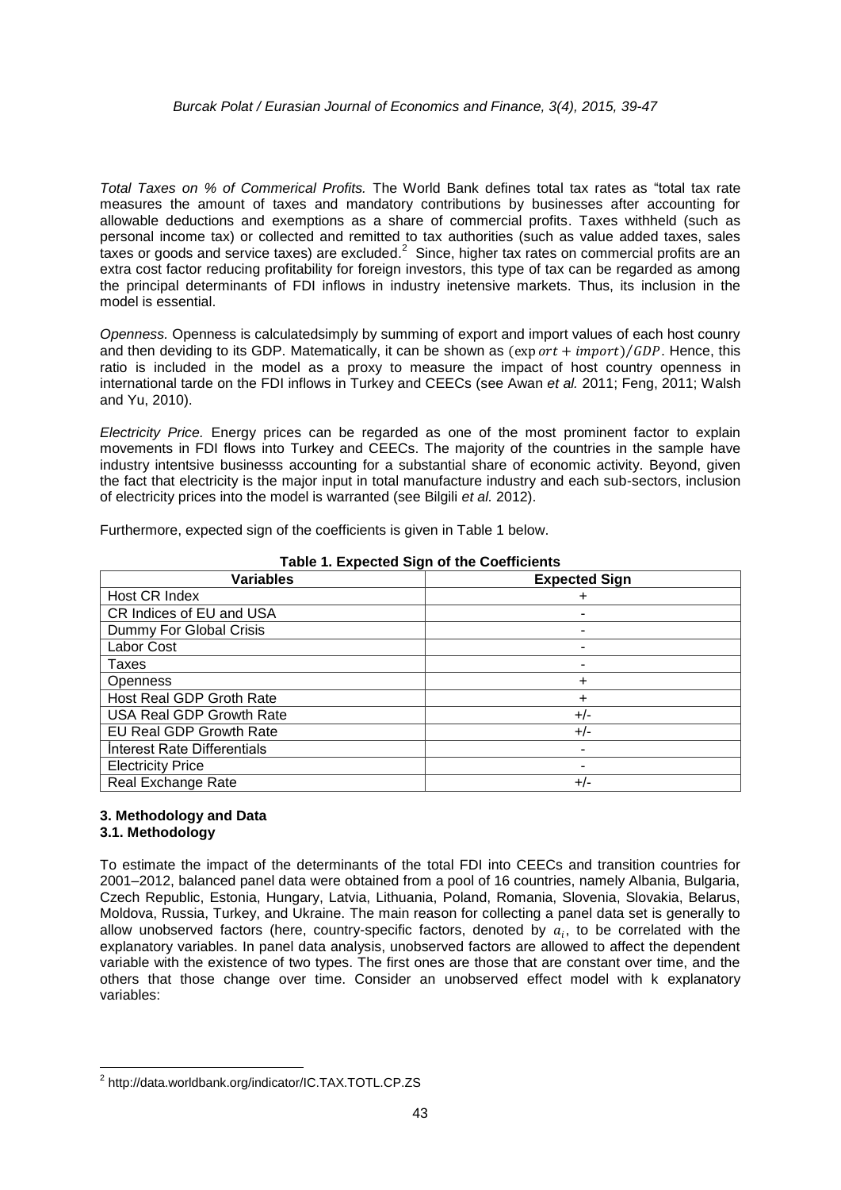#### *Burcak Polat / Eurasian Journal of Economics and Finance, 3(4), 2015, 39-47*

*Total Taxes on % of Commerical Profits.* The World Bank defines total tax rates as "total tax rate measures the amount of taxes and mandatory contributions by businesses after accounting for allowable deductions and exemptions as a share of commercial profits. Taxes withheld (such as personal income tax) or collected and remitted to tax authorities (such as value added taxes, sales taxes or goods and service taxes) are excluded.<sup>2</sup> Since, higher tax rates on commercial profits are an extra cost factor reducing profitability for foreign investors, this type of tax can be regarded as among the principal determinants of FDI inflows in industry inetensive markets. Thus, its inclusion in the model is essential.

*Openness.* Openness is calculatedsimply by summing of export and import values of each host counry and then deviding to its GDP. Matematically, it can be shown as  $(export + import)/GDP$ . Hence, this ratio is included in the model as a proxy to measure the impact of host country openness in international tarde on the FDI inflows in Turkey and CEECs (see Awan *et al.* 2011; Feng, 2011; Walsh and Yu, 2010).

*Electricity Price.* Energy prices can be regarded as one of the most prominent factor to explain movements in FDI flows into Turkey and CEECs. The majority of the countries in the sample have industry intentsive businesss accounting for a substantial share of economic activity. Beyond, given the fact that electricity is the major input in total manufacture industry and each sub-sectors, inclusion of electricity prices into the model is warranted (see Bilgili *et al.* 2012).

Furthermore, expected sign of the coefficients is given in Table 1 below.

| <b>Variables</b>                | <b>Expected Sign</b> |
|---------------------------------|----------------------|
| Host CR Index                   |                      |
| CR Indices of EU and USA        |                      |
| Dummy For Global Crisis         |                      |
| Labor Cost                      |                      |
| Taxes                           |                      |
| <b>Openness</b>                 | $\ddot{}$            |
| Host Real GDP Groth Rate        | ٠                    |
| <b>USA Real GDP Growth Rate</b> | $+/-$                |
| <b>EU Real GDP Growth Rate</b>  | $+/-$                |
| Interest Rate Differentials     |                      |
| <b>Electricity Price</b>        |                      |
| Real Exchange Rate              | $+/-$                |

#### **Table 1. Expected Sign of the Coefficients**

#### **3. Methodology and Data 3.1. Methodology**

To estimate the impact of the determinants of the total FDI into CEECs and transition countries for 2001–2012, balanced panel data were obtained from a pool of 16 countries, namely Albania, Bulgaria, Czech Republic, Estonia, Hungary, Latvia, Lithuania, Poland, Romania, Slovenia, Slovakia, Belarus, Moldova, Russia, Turkey, and Ukraine. The main reason for collecting a panel data set is generally to allow unobserved factors (here, country-specific factors, denoted by  $a_i$ , to be correlated with the explanatory variables. In panel data analysis, unobserved factors are allowed to affect the dependent variable with the existence of two types. The first ones are those that are constant over time, and the others that those change over time. Consider an unobserved effect model with k explanatory variables:

**<sup>.</sup>** <sup>2</sup> http://data.worldbank.org/indicator/IC.TAX.TOTL.CP.ZS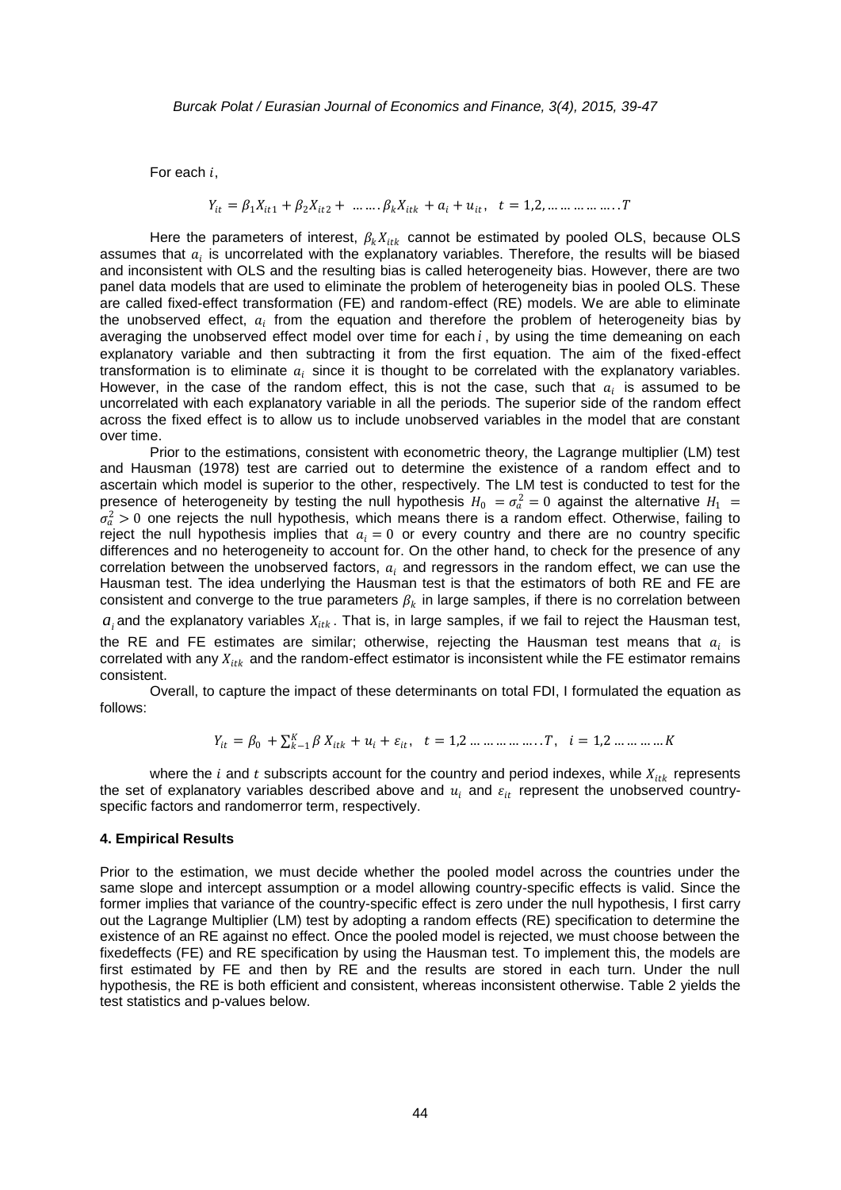For each  $i$ ,

$$
Y_{it} = \beta_1 X_{it1} + \beta_2 X_{it2} + \dots + \beta_k X_{itk} + a_i + u_{it}, \quad t = 1, 2, \dots \dots \dots \dots T
$$

Here the parameters of interest,  $\beta_k X_{itk}$  cannot be estimated by pooled OLS, because OLS assumes that  $a_i$  is uncorrelated with the explanatory variables. Therefore, the results will be biased and inconsistent with OLS and the resulting bias is called heterogeneity bias. However, there are two panel data models that are used to eliminate the problem of heterogeneity bias in pooled OLS. These are called fixed-effect transformation (FE) and random-effect (RE) models. We are able to eliminate the unobserved effect,  $a_i$  from the equation and therefore the problem of heterogeneity bias by averaging the unobserved effect model over time for each *i* , by using the time demeaning on each explanatory variable and then subtracting it from the first equation. The aim of the fixed-effect transformation is to eliminate  $a_i$  since it is thought to be correlated with the explanatory variables. However, in the case of the random effect, this is not the case, such that  $a_i$  is assumed to be uncorrelated with each explanatory variable in all the periods. The superior side of the random effect across the fixed effect is to allow us to include unobserved variables in the model that are constant over time.

Prior to the estimations, consistent with econometric theory, the Lagrange multiplier (LM) test and Hausman (1978) test are carried out to determine the existence of a random effect and to ascertain which model is superior to the other, respectively. The LM test is conducted to test for the presence of heterogeneity by testing the null hypothesis  $H_0 = \sigma_a^2 = 0$  against the alternative  $H_1$  =  $\sigma_a^2 > 0$  one rejects the null hypothesis, which means there is a random effect. Otherwise, failing to reject the null hypothesis implies that  $a_i = 0$  or every country and there are no country specific differences and no heterogeneity to account for. On the other hand, to check for the presence of any correlation between the unobserved factors,  $a_i$  and regressors in the random effect, we can use the Hausman test. The idea underlying the Hausman test is that the estimators of both RE and FE are consistent and converge to the true parameters  $\beta_k$  in large samples, if there is no correlation between  $a_i$  and the explanatory variables  $X_{itk}$ . That is, in large samples, if we fail to reject the Hausman test, the RE and FE estimates are similar; otherwise, rejecting the Hausman test means that  $a_i$  is correlated with any  $X_{itk}$  and the random-effect estimator is inconsistent while the FE estimator remains consistent.

Overall, to capture the impact of these determinants on total FDI, I formulated the equation as follows:

$$
Y_{it} = \beta_0 + \sum_{k=1}^{K} \beta X_{itk} + u_i + \varepsilon_{it}, \quad t = 1, 2, \dots, \dots, \dots, T, \quad i = 1, 2, \dots, \dots, K
$$

where the i and t subscripts account for the country and period indexes, while  $X_{itk}$  represents the set of explanatory variables described above and  $u_i$  and  $\varepsilon_{it}$  represent the unobserved countryspecific factors and randomerror term, respectively.

#### **4. Empirical Results**

Prior to the estimation, we must decide whether the pooled model across the countries under the same slope and intercept assumption or a model allowing country-specific effects is valid. Since the former implies that variance of the country-specific effect is zero under the null hypothesis, I first carry out the Lagrange Multiplier (LM) test by adopting a random effects (RE) specification to determine the existence of an RE against no effect. Once the pooled model is rejected, we must choose between the fixedeffects (FE) and RE specification by using the Hausman test. To implement this, the models are first estimated by FE and then by RE and the results are stored in each turn. Under the null hypothesis, the RE is both efficient and consistent, whereas inconsistent otherwise. Table 2 yields the test statistics and p-values below.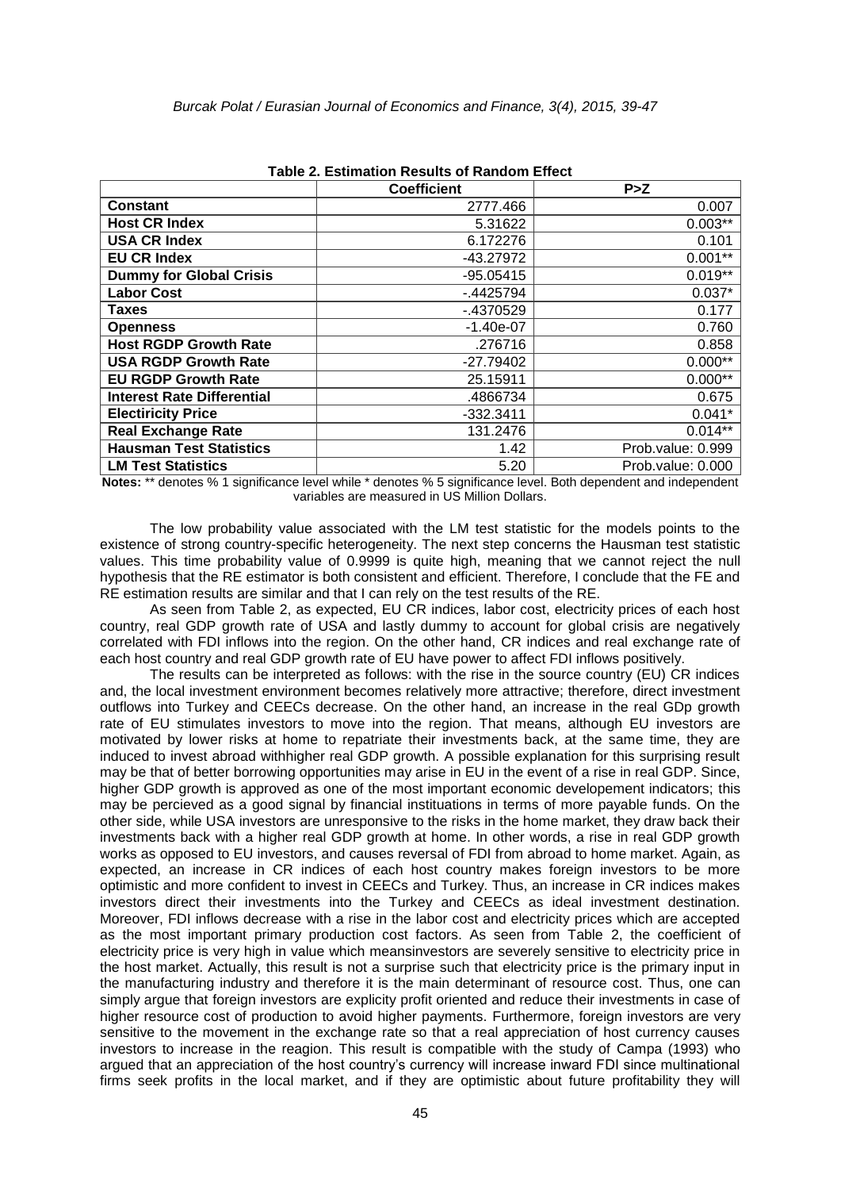|                                   | <b>Coefficient</b> | P > Z             |
|-----------------------------------|--------------------|-------------------|
| <b>Constant</b>                   | 2777.466           | 0.007             |
| <b>Host CR Index</b>              | 5.31622            | $0.003**$         |
| <b>USA CR Index</b>               | 6.172276           | 0.101             |
| <b>EU CR Index</b>                | -43.27972          | $0.001**$         |
| <b>Dummy for Global Crisis</b>    | $-95.05415$        | $0.019**$         |
| <b>Labor Cost</b>                 | $-4425794$         | $0.037*$          |
| Taxes                             | $-4370529$         | 0.177             |
| <b>Openness</b>                   | $-1.40e-07$        | 0.760             |
| <b>Host RGDP Growth Rate</b>      | .276716            | 0.858             |
| <b>USA RGDP Growth Rate</b>       | $-27.79402$        | $0.000**$         |
| <b>EU RGDP Growth Rate</b>        | 25.15911           | $0.000**$         |
| <b>Interest Rate Differential</b> | .4866734           | 0.675             |
| <b>Electiricity Price</b>         | $-332.3411$        | $0.041*$          |
| <b>Real Exchange Rate</b>         | 131.2476           | $0.014**$         |
| <b>Hausman Test Statistics</b>    | 1.42               | Prob.value: 0.999 |
| <b>LM Test Statistics</b>         | 5.20               | Prob.value: 0.000 |

**Table 2. Estimation Results of Random Effect**

**Notes:** \*\* denotes % 1 significance level while \* denotes % 5 significance level. Both dependent and independent variables are measured in US Million Dollars.

The low probability value associated with the LM test statistic for the models points to the existence of strong country-specific heterogeneity. The next step concerns the Hausman test statistic values. This time probability value of 0.9999 is quite high, meaning that we cannot reject the null hypothesis that the RE estimator is both consistent and efficient. Therefore, I conclude that the FE and RE estimation results are similar and that I can rely on the test results of the RE.

As seen from Table 2, as expected, EU CR indices, labor cost, electricity prices of each host country, real GDP growth rate of USA and lastly dummy to account for global crisis are negatively correlated with FDI inflows into the region. On the other hand, CR indices and real exchange rate of each host country and real GDP growth rate of EU have power to affect FDI inflows positively.

The results can be interpreted as follows: with the rise in the source country (EU) CR indices and, the local investment environment becomes relatively more attractive; therefore, direct investment outflows into Turkey and CEECs decrease. On the other hand, an increase in the real GDp growth rate of EU stimulates investors to move into the region. That means, although EU investors are motivated by lower risks at home to repatriate their investments back, at the same time, they are induced to invest abroad withhigher real GDP growth. A possible explanation for this surprising result may be that of better borrowing opportunities may arise in EU in the event of a rise in real GDP. Since, higher GDP growth is approved as one of the most important economic developement indicators; this may be percieved as a good signal by financial instituations in terms of more payable funds. On the other side, while USA investors are unresponsive to the risks in the home market, they draw back their investments back with a higher real GDP growth at home. In other words, a rise in real GDP growth works as opposed to EU investors, and causes reversal of FDI from abroad to home market. Again, as expected, an increase in CR indices of each host country makes foreign investors to be more optimistic and more confident to invest in CEECs and Turkey. Thus, an increase in CR indices makes investors direct their investments into the Turkey and CEECs as ideal investment destination. Moreover, FDI inflows decrease with a rise in the labor cost and electricity prices which are accepted as the most important primary production cost factors. As seen from Table 2, the coefficient of electricity price is very high in value which meansinvestors are severely sensitive to electricity price in the host market. Actually, this result is not a surprise such that electricity price is the primary input in the manufacturing industry and therefore it is the main determinant of resource cost. Thus, one can simply argue that foreign investors are explicity profit oriented and reduce their investments in case of higher resource cost of production to avoid higher payments. Furthermore, foreign investors are very sensitive to the movement in the exchange rate so that a real appreciation of host currency causes investors to increase in the reagion. This result is compatible with the study of Campa (1993) who argued that an appreciation of the host country's currency will increase inward FDI since multinational firms seek profits in the local market, and if they are optimistic about future profitability they will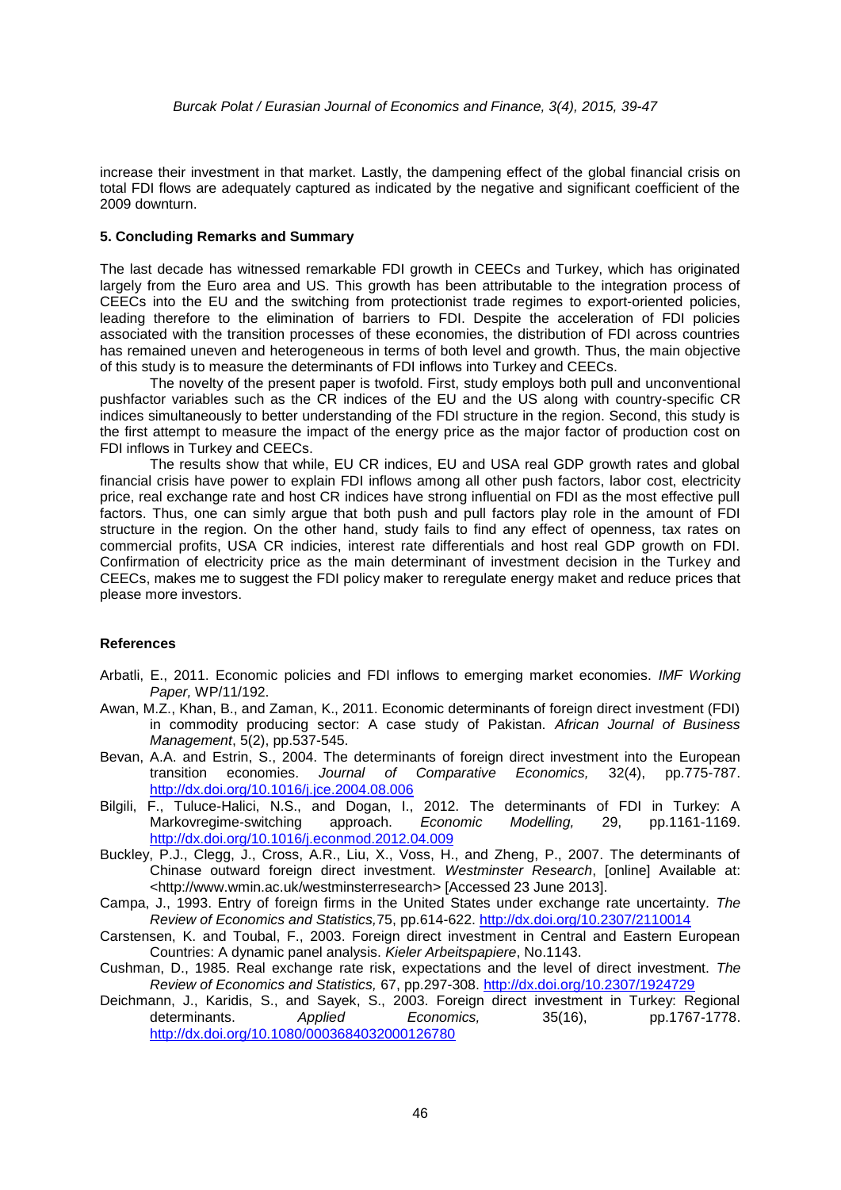increase their investment in that market. Lastly, the dampening effect of the global financial crisis on total FDI flows are adequately captured as indicated by the negative and significant coefficient of the 2009 downturn.

#### **5. Concluding Remarks and Summary**

The last decade has witnessed remarkable FDI growth in CEECs and Turkey, which has originated largely from the Euro area and US. This growth has been attributable to the integration process of CEECs into the EU and the switching from protectionist trade regimes to export-oriented policies, leading therefore to the elimination of barriers to FDI. Despite the acceleration of FDI policies associated with the transition processes of these economies, the distribution of FDI across countries has remained uneven and heterogeneous in terms of both level and growth. Thus, the main objective of this study is to measure the determinants of FDI inflows into Turkey and CEECs.

The novelty of the present paper is twofold. First, study employs both pull and unconventional pushfactor variables such as the CR indices of the EU and the US along with country-specific CR indices simultaneously to better understanding of the FDI structure in the region. Second, this study is the first attempt to measure the impact of the energy price as the major factor of production cost on FDI inflows in Turkey and CEECs.

The results show that while, EU CR indices, EU and USA real GDP growth rates and global financial crisis have power to explain FDI inflows among all other push factors, labor cost, electricity price, real exchange rate and host CR indices have strong influential on FDI as the most effective pull factors. Thus, one can simly argue that both push and pull factors play role in the amount of FDI structure in the region. On the other hand, study fails to find any effect of openness, tax rates on commercial profits, USA CR indicies, interest rate differentials and host real GDP growth on FDI. Confirmation of electricity price as the main determinant of investment decision in the Turkey and CEECs, makes me to suggest the FDI policy maker to reregulate energy maket and reduce prices that please more investors.

#### **References**

- Arbatli, E., 2011. Economic policies and FDI inflows to emerging market economies. *IMF Working Paper,* WP/11/192.
- Awan, M.Z., Khan, B., and Zaman, K., 2011. Economic determinants of foreign direct investment (FDI) in commodity producing sector: A case study of Pakistan. *African Journal of Business Management*, 5(2), pp.537-545.
- Bevan, A.A. and Estrin, S., 2004. The determinants of foreign direct investment into the European transition economies. *Journal of Comparative Economics,* 32(4), pp.775-787. <http://dx.doi.org/10.1016/j.jce.2004.08.006>
- Bilgili, F., Tuluce-Halici, N.S., and Dogan, I., 2012. The determinants of FDI in Turkey: A Markovregime-switching approach. *Economic Modelling,* 29, pp.1161-1169. <http://dx.doi.org/10.1016/j.econmod.2012.04.009>
- Buckley, P.J., Clegg, J., Cross, A.R., Liu, X., Voss, H., and Zheng, P., 2007. The determinants of Chinase outward foreign direct investment. *Westminster Research*, [online] Available at: [<http://www.wmin.ac.uk/westminsterresearch>](http://www.wmin.ac.uk/westminsterresearch) [Accessed 23 June 2013].
- Campa, J., 1993. Entry of foreign firms in the United States under exchange rate uncertainty*. The Review of Economics and Statistics,*75, pp.614-622. <http://dx.doi.org/10.2307/2110014>
- Carstensen, K. and Toubal, F., 2003. Foreign direct investment in Central and Eastern European Countries: A dynamic panel analysis. *Kieler Arbeitspapiere*, No.1143.
- Cushman, D., 1985. Real exchange rate risk, expectations and the level of direct investment. *The Review of Economics and Statistics,* 67, pp.297-308. <http://dx.doi.org/10.2307/1924729>
- Deichmann, J., Karidis, S., and Sayek, S., 2003. Foreign direct investment in Turkey: Regional determinants. *Applied Economics,* 35(16), pp.1767*-*1778. <http://dx.doi.org/10.1080/0003684032000126780>